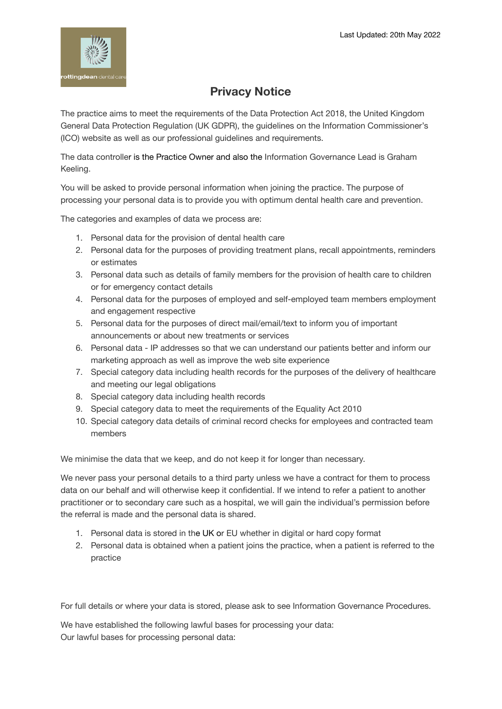

## **Privacy Notice**

The practice aims to meet the requirements of the Data Protection Act 2018, the United Kingdom General Data Protection Regulation (UK GDPR), the guidelines on the Information Commissioner's (ICO) website as well as our professional guidelines and requirements.

The data controller is the Practice Owner and also the Information Governance Lead is Graham Keeling.

You will be asked to provide personal information when joining the practice. The purpose of processing your personal data is to provide you with optimum dental health care and prevention.

The categories and examples of data we process are:

- 1. Personal data for the provision of dental health care
- 2. Personal data for the purposes of providing treatment plans, recall appointments, reminders or estimates
- 3. Personal data such as details of family members for the provision of health care to children or for emergency contact details
- 4. Personal data for the purposes of employed and self-employed team members employment and engagement respective
- 5. Personal data for the purposes of direct mail/email/text to inform you of important announcements or about new treatments or services
- 6. Personal data IP addresses so that we can understand our patients better and inform our marketing approach as well as improve the web site experience
- 7. Special category data including health records for the purposes of the delivery of healthcare and meeting our legal obligations
- 8. Special category data including health records
- 9. Special category data to meet the requirements of the Equality Act 2010
- 10. Special category data details of criminal record checks for employees and contracted team members

We minimise the data that we keep, and do not keep it for longer than necessary.

We never pass your personal details to a third party unless we have a contract for them to process data on our behalf and will otherwise keep it confidential. If we intend to refer a patient to another practitioner or to secondary care such as a hospital, we will gain the individual's permission before the referral is made and the personal data is shared.

- 1. Personal data is stored in the UK or EU whether in digital or hard copy format
- 2. Personal data is obtained when a patient joins the practice, when a patient is referred to the practice

For full details or where your data is stored, please ask to see Information Governance Procedures.

We have established the following lawful bases for processing your data: Our lawful bases for processing personal data: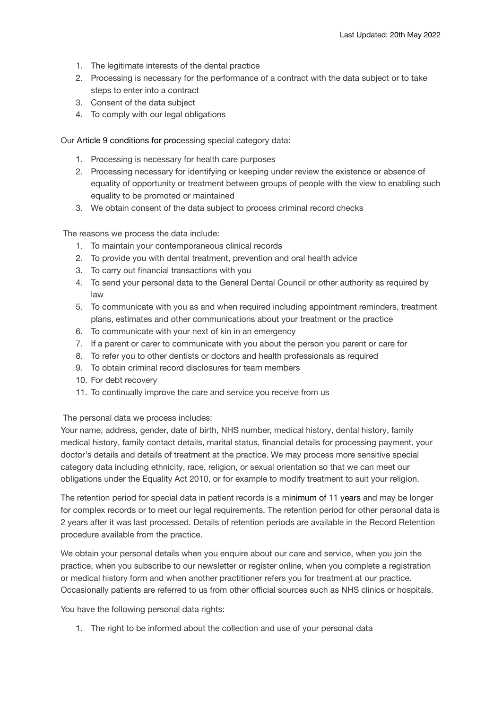- 1. The legitimate interests of the dental practice
- 2. Processing is necessary for the performance of a contract with the data subject or to take steps to enter into a contract
- 3. Consent of the data subject
- 4. To comply with our legal obligations

Our Article 9 conditions for processing special category data:

- 1. Processing is necessary for health care purposes
- 2. Processing necessary for identifying or keeping under review the existence or absence of equality of opportunity or treatment between groups of people with the view to enabling such equality to be promoted or maintained
- 3. We obtain consent of the data subject to process criminal record checks

The reasons we process the data include:

- 1. To maintain your contemporaneous clinical records
- 2. To provide you with dental treatment, prevention and oral health advice
- 3. To carry out financial transactions with you
- 4. To send your personal data to the General Dental Council or other authority as required by law
- 5. To communicate with you as and when required including appointment reminders, treatment plans, estimates and other communications about your treatment or the practice
- 6. To communicate with your next of kin in an emergency
- 7. If a parent or carer to communicate with you about the person you parent or care for
- 8. To refer you to other dentists or doctors and health professionals as required
- 9. To obtain criminal record disclosures for team members
- 10. For debt recovery
- 11. To continually improve the care and service you receive from us

The personal data we process includes:

Your name, address, gender, date of birth, NHS number, medical history, dental history, family medical history, family contact details, marital status, financial details for processing payment, your doctor's details and details of treatment at the practice. We may process more sensitive special category data including ethnicity, race, religion, or sexual orientation so that we can meet our obligations under the Equality Act 2010, or for example to modify treatment to suit your religion.

The retention period for special data in patient records is a minimum of 11 years and may be longer for complex records or to meet our legal requirements. The retention period for other personal data is 2 years after it was last processed. Details of retention periods are available in the Record Retention procedure available from the practice.

We obtain your personal details when you enquire about our care and service, when you join the practice, when you subscribe to our newsletter or register online, when you complete a registration or medical history form and when another practitioner refers you for treatment at our practice. Occasionally patients are referred to us from other official sources such as NHS clinics or hospitals.

You have the following personal data rights:

1. The right to be informed about the collection and use of your personal data